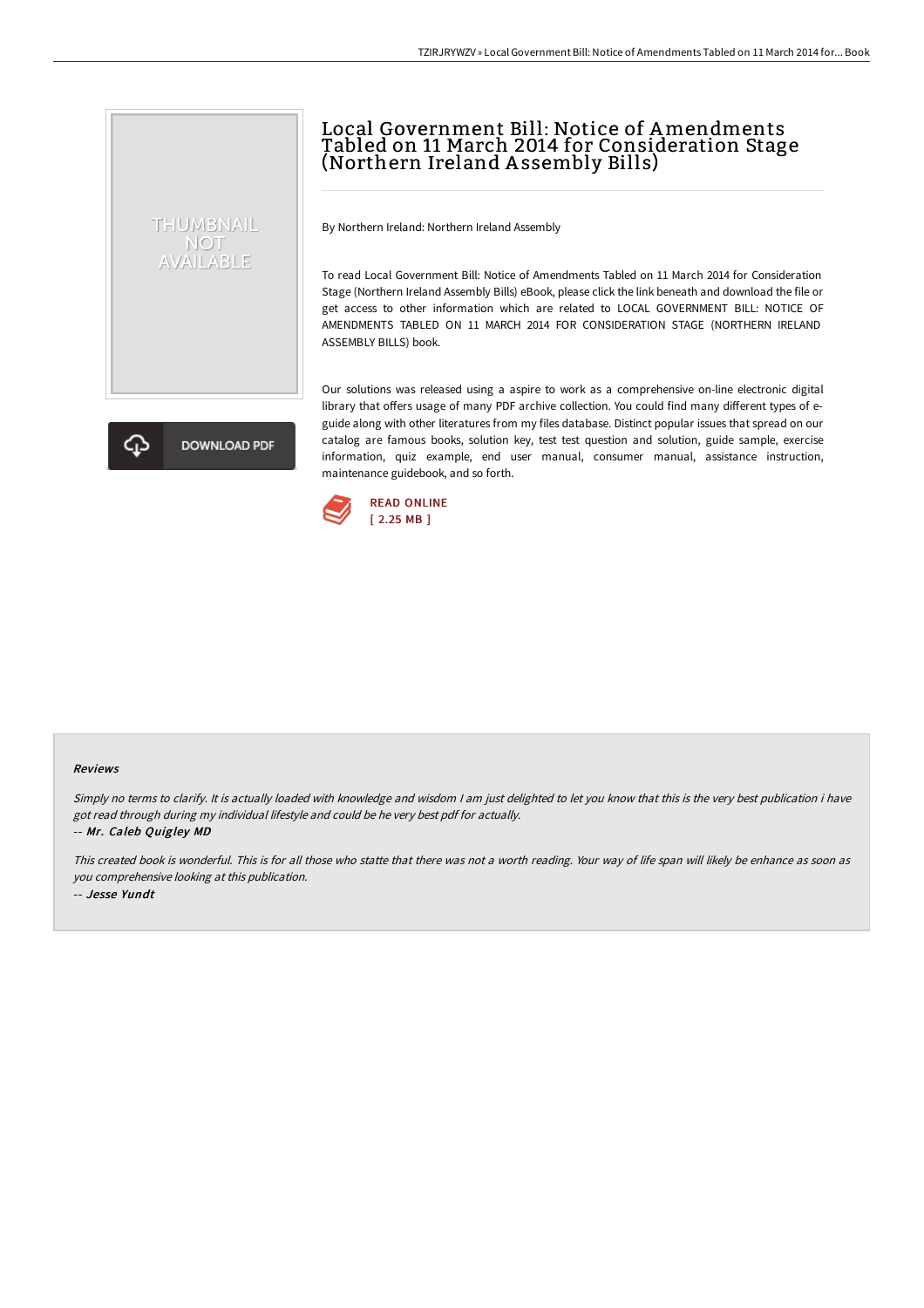# Local Government Bill: Notice of Amendments Tabled on 11 March 2014 for Consideration Stage (Northern Ireland A ssembly Bills)

By Northern Ireland: Northern Ireland Assembly

To read Local Government Bill: Notice of Amendments Tabled on 11 March 2014 for Consideration Stage (Northern Ireland Assembly Bills) eBook, please click the link beneath and download the file or get access to other information which are related to LOCAL GOVERNMENT BILL: NOTICE OF AMENDMENTS TABLED ON 11 MARCH 2014 FOR CONSIDERATION STAGE (NORTHERN IRELAND ASSEMBLY BILLS) book.

**DOWNLOAD PDF** 

THUMBNAIL NOT<br>AVAILABLE

> Our solutions was released using a aspire to work as a comprehensive on-line electronic digital library that offers usage of many PDF archive collection. You could find many different types of eguide along with other literatures from my files database. Distinct popular issues that spread on our catalog are famous books, solution key, test test question and solution, guide sample, exercise information, quiz example, end user manual, consumer manual, assistance instruction, maintenance guidebook, and so forth.



#### Reviews

Simply no terms to clarify. It is actually loaded with knowledge and wisdom <sup>I</sup> am just delighted to let you know that this is the very best publication i have got read through during my individual lifestyle and could be he very best pdf for actually. -- Mr. Caleb Quigley MD

This created book is wonderful. This is for all those who statte that there was not <sup>a</sup> worth reading. Your way of life span will likely be enhance as soon as you comprehensive looking at this publication. -- Jesse Yundt